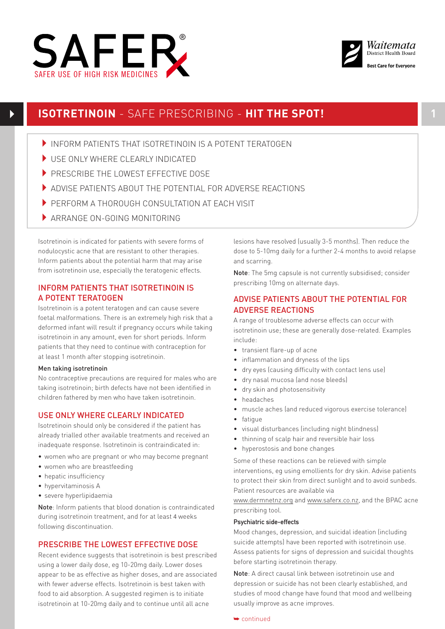



# **ISOTRETINOIN** - SAFE PRESCRIBING - **HIT THE SPOT!**

- INFORM PATIENTS THAT ISOTRETINOIN IS A POTENT TERATOGEN
- USE ONLY WHERE CLEARLY INDICATED
- PRESCRIBE THE LOWEST EFFECTIVE DOSE
- 4ADVISE PATIENTS ABOUT THE POTENTIAL FOR ADVERSE REACTIONS
- **PERFORM A THOROUGH CONSULTATION AT FACH VISIT**
- ARRANGE ON-GOING MONITORING

Isotretinoin is indicated for patients with severe forms of nodulocystic acne that are resistant to other therapies. Inform patients about the potential harm that may arise from isotretinoin use, especially the teratogenic effects.

### INFORM PATIENTS THAT ISOTRETINOIN IS A POTENT TERATOGEN

Isotretinoin is a potent teratogen and can cause severe foetal malformations. There is an extremely high risk that a deformed infant will result if pregnancy occurs while taking isotretinoin in any amount, even for short periods. Inform patients that they need to continue with contraception for at least 1 month after stopping isotretinoin.

### Men taking isotretinoin

No contraceptive precautions are required for males who are taking isotretinoin; birth defects have not been identified in children fathered by men who have taken isotretinoin.

### USE ONLY WHERE CLEARLY INDICATED

Isotretinoin should only be considered if the patient has already trialled other available treatments and received an inadequate response. Isotretinoin is contraindicated in:

- women who are pregnant or who may become pregnant
- women who are breastfeeding
- hepatic insufficiency
- hypervitaminosis A
- severe hyperlipidaemia

Note: Inform patients that blood donation is contraindicated during isotretinoin treatment, and for at least 4 weeks following discontinuation.

### PRESCRIBE THE LOWEST EFFECTIVE DOSE

Recent evidence suggests that isotretinoin is best prescribed using a lower daily dose, eg 10-20mg daily. Lower doses appear to be as effective as higher doses, and are associated with fewer adverse effects. Isotretinoin is best taken with food to aid absorption. A suggested regimen is to initiate isotretinoin at 10-20mg daily and to continue until all acne

lesions have resolved (usually 3-5 months). Then reduce the dose to 5-10mg daily for a further 2-4 months to avoid relapse and scarring.

Note: The 5mg capsule is not currently subsidised; consider prescribing 10mg on alternate days.

# ADVISE PATIENTS ABOUT THE POTENTIAL FOR ADVERSE REACTIONS

A range of troublesome adverse effects can occur with isotretinoin use; these are generally dose-related. Examples include:

- transient flare-up of acne
- inflammation and dryness of the lips
- dry eyes (causing difficulty with contact lens use)
- dry nasal mucosa (and nose bleeds)
- dry skin and photosensitivity
- headaches
- muscle aches (and reduced vigorous exercise tolerance)
- fatique
- visual disturbances (including night blindness)
- thinning of scalp hair and reversible hair loss
- hyperostosis and bone changes

Some of these reactions can be relieved with simple interventions, eg using emollients for dry skin. Advise patients to protect their skin from direct sunlight and to avoid sunbeds. Patient resources are available via

www.dermnetnz.org and www.saferx.co.nz, and the BPAC acne prescribing tool.

### Psychiatric side-effects

Mood changes, depression, and suicidal ideation (including suicide attempts) have been reported with isotretinoin use. Assess patients for signs of depression and suicidal thoughts before starting isotretinoin therapy.

Note: A direct causal link between isotretinoin use and depression or suicide has not been clearly established, and studies of mood change have found that mood and wellbeing usually improve as acne improves.